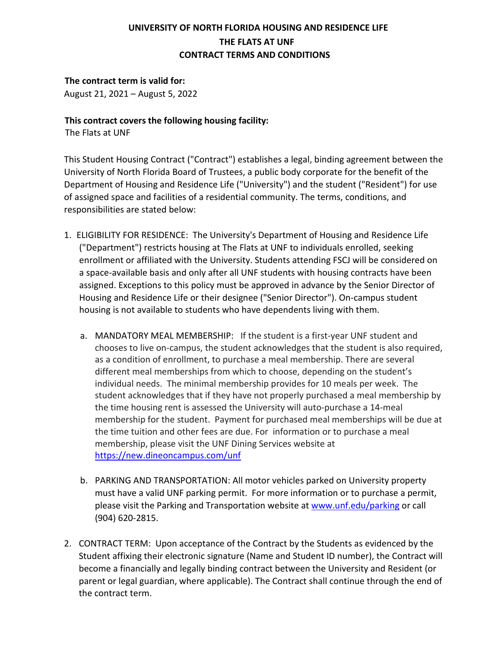# **UNIVERSITY OF NORTH FLORIDA HOUSING AND RESIDENCE LIFE THE FLATS AT UNF CONTRACT TERMS AND CONDITIONS**

# **The contract term is valid for:**

August 21, 2021 – August 5, 2022

## **This contract covers the following housing facility:**

The Flats at UNF

 This Student Housing Contract ("Contract") establishes a legal, binding agreement between the University of North Florida Board of Trustees, a public body corporate for the benefit of the Department of Housing and Residence Life ("University") and the student ("Resident") for use of assigned space and facilities of a residential community. The terms, conditions, and responsibilities are stated below:

- 1. ELIGIBILITY FOR RESIDENCE: The University's Department of Housing and Residence Life housing is not available to students who have dependents living with them. ("Department") restricts housing at The Flats at UNF to individuals enrolled, seeking enrollment or affiliated with the University. Students attending FSCJ will be considered on a space-available basis and only after all UNF students with housing contracts have been assigned. Exceptions to this policy must be approved in advance by the Senior Director of Housing and Residence Life or their designee ("Senior Director"). On-campus student
	- a. MANDATORY MEAL MEMBERSHIP: If the student is a first-year UNF student and student acknowledges that if they have not properly purchased a meal membership by membership for the student. Payment for purchased meal memberships will be due at membership, please visit the UNF Dining Services website at chooses to live on-campus, the student acknowledges that the student is also required, as a condition of enrollment, to purchase a meal membership. There are several different meal memberships from which to choose, depending on the student's individual needs. The minimal membership provides for 10 meals per week. The the time housing rent is assessed the University will auto-purchase a 14-meal the time tuition and other fees are due. For information or to purchase a meal <https://new.dineoncampus.com/unf>
	- must have a valid UNF parking permit. For more information or to purchase a permit, b. PARKING AND TRANSPORTATION: All motor vehicles parked on University property please visit the Parking and Transportation website at [www.unf.edu/parking](http://www.unf.edu/parking) or call (904) 620-2815.
- 2. CONTRACT TERM: Upon acceptance of the Contract by the Students as evidenced by the Student affixing their electronic signature (Name and Student ID number), the Contract will become a financially and legally binding contract between the University and Resident (or parent or legal guardian, where applicable). The Contract shall continue through the end of the contract term.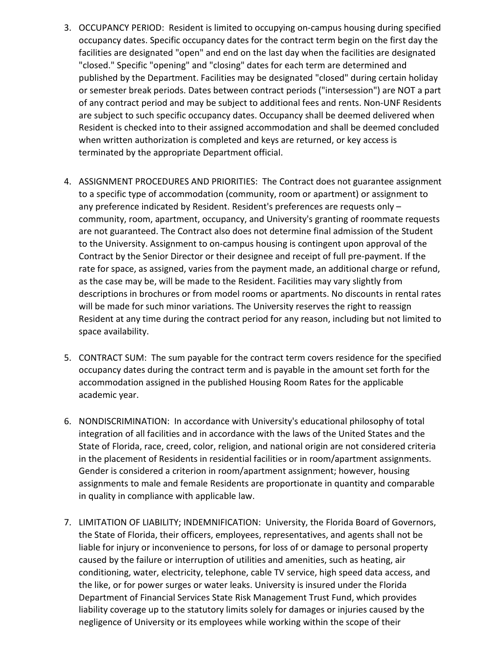- occupancy dates. Specific occupancy dates for the contract term begin on the first day the facilities are designated "open" and end on the last day when the facilities are designated published by the Department. Facilities may be designated "closed" during certain holiday or semester break periods. Dates between contract periods ("intersession") are NOT a part are subject to such specific occupancy dates. Occupancy shall be deemed delivered when Resident is checked into to their assigned accommodation and shall be deemed concluded 3. OCCUPANCY PERIOD: Resident is limited to occupying on-campus housing during specified "closed." Specific "opening" and "closing" dates for each term are determined and of any contract period and may be subject to additional fees and rents. Non-UNF Residents when written authorization is completed and keys are returned, or key access is terminated by the appropriate Department official.
- Contract by the Senior Director or their designee and receipt of full pre-payment. If the rate for space, as assigned, varies from the payment made, an additional charge or refund, as the case may be, will be made to the Resident. Facilities may vary slightly from descriptions in brochures or from model rooms or apartments. No discounts in rental rates 4. ASSIGNMENT PROCEDURES AND PRIORITIES: The Contract does not guarantee assignment to a specific type of accommodation (community, room or apartment) or assignment to any preference indicated by Resident. Resident's preferences are requests only – community, room, apartment, occupancy, and University's granting of roommate requests are not guaranteed. The Contract also does not determine final admission of the Student to the University. Assignment to on-campus housing is contingent upon approval of the will be made for such minor variations. The University reserves the right to reassign Resident at any time during the contract period for any reason, including but not limited to space availability.
- 5. CONTRACT SUM: The sum payable for the contract term covers residence for the specified occupancy dates during the contract term and is payable in the amount set forth for the accommodation assigned in the published Housing Room Rates for the applicable academic year.
- 6. NONDISCRIMINATION: In accordance with University's educational philosophy of total integration of all facilities and in accordance with the laws of the United States and the State of Florida, race, creed, color, religion, and national origin are not considered criteria in the placement of Residents in residential facilities or in room/apartment assignments. Gender is considered a criterion in room/apartment assignment; however, housing assignments to male and female Residents are proportionate in quantity and comparable in quality in compliance with applicable law.
- the State of Florida, their officers, employees, representatives, and agents shall not be caused by the failure or interruption of utilities and amenities, such as heating, air conditioning, water, electricity, telephone, cable TV service, high speed data access, and the like, or for power surges or water leaks. University is insured under the Florida liability coverage up to the statutory limits solely for damages or injuries caused by the 7. LIMITATION OF LIABILITY; INDEMNIFICATION: University, the Florida Board of Governors, liable for injury or inconvenience to persons, for loss of or damage to personal property Department of Financial Services State Risk Management Trust Fund, which provides negligence of University or its employees while working within the scope of their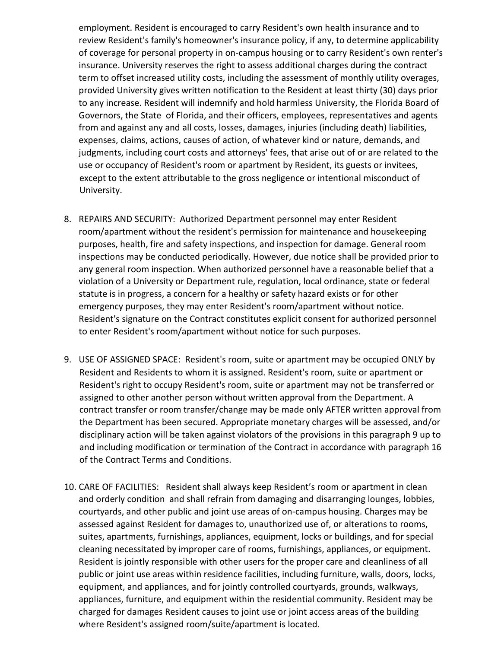employment. Resident is encouraged to carry Resident's own health insurance and to review Resident's family's homeowner's insurance policy, if any, to determine applicability of coverage for personal property in on-campus housing or to carry Resident's own renter's insurance. University reserves the right to assess additional charges during the contract term to offset increased utility costs, including the assessment of monthly utility overages, provided University gives written notification to the Resident at least thirty (30) days prior to any increase. Resident will indemnify and hold harmless University, the Florida Board of Governors, the State of Florida, and their officers, employees, representatives and agents from and against any and all costs, losses, damages, injuries (including death) liabilities, expenses, claims, actions, causes of action, of whatever kind or nature, demands, and judgments, including court costs and attorneys' fees, that arise out of or are related to the use or occupancy of Resident's room or apartment by Resident, its guests or invitees, except to the extent attributable to the gross negligence or intentional misconduct of University.

- 8. REPAIRS AND SECURITY: Authorized Department personnel may enter Resident purposes, health, fire and safety inspections, and inspection for damage. General room any general room inspection. When authorized personnel have a reasonable belief that a statute is in progress, a concern for a healthy or safety hazard exists or for other emergency purposes, they may enter Resident's room/apartment without notice. room/apartment without the resident's permission for maintenance and housekeeping inspections may be conducted periodically. However, due notice shall be provided prior to violation of a University or Department rule, regulation, local ordinance, state or federal Resident's signature on the Contract constitutes explicit consent for authorized personnel to enter Resident's room/apartment without notice for such purposes.
- Resident's right to occupy Resident's room, suite or apartment may not be transferred or assigned to other another person without written approval from the Department. A contract transfer or room transfer/change may be made only AFTER written approval from disciplinary action will be taken against violators of the provisions in this paragraph 9 up to 9. USE OF ASSIGNED SPACE: Resident's room, suite or apartment may be occupied ONLY by Resident and Residents to whom it is assigned. Resident's room, suite or apartment or the Department has been secured. Appropriate monetary charges will be assessed, and/or and including modification or termination of the Contract in accordance with paragraph 16 of the Contract Terms and Conditions.
- 10. CARE OF FACILITIES: Resident shall always keep Resident's room or apartment in clean suites, apartments, furnishings, appliances, equipment, locks or buildings, and for special public or joint use areas within residence facilities, including furniture, walls, doors, locks, charged for damages Resident causes to joint use or joint access areas of the building and orderly condition and shall refrain from damaging and disarranging lounges, lobbies, courtyards, and other public and joint use areas of on-campus housing. Charges may be assessed against Resident for damages to, unauthorized use of, or alterations to rooms, cleaning necessitated by improper care of rooms, furnishings, appliances, or equipment. Resident is jointly responsible with other users for the proper care and cleanliness of all equipment, and appliances, and for jointly controlled courtyards, grounds, walkways, appliances, furniture, and equipment within the residential community. Resident may be where Resident's assigned room/suite/apartment is located.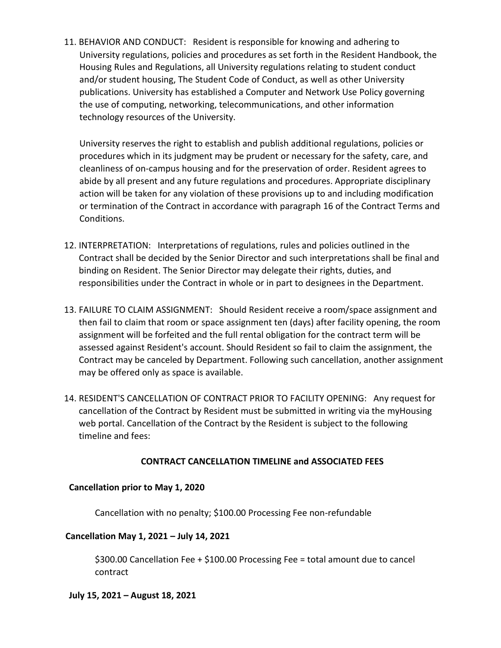11. BEHAVIOR AND CONDUCT: Resident is responsible for knowing and adhering to University regulations, policies and procedures as set forth in the Resident Handbook, the Housing Rules and Regulations, all University regulations relating to student conduct and/or student housing, The Student Code of Conduct, as well as other University publications. University has established a Computer and Network Use Policy governing the use of computing, networking, telecommunications, and other information technology resources of the University.

 University reserves the right to establish and publish additional regulations, policies or cleanliness of on-campus housing and for the preservation of order. Resident agrees to abide by all present and any future regulations and procedures. Appropriate disciplinary procedures which in its judgment may be prudent or necessary for the safety, care, and action will be taken for any violation of these provisions up to and including modification or termination of the Contract in accordance with paragraph 16 of the Contract Terms and Conditions.

- 12. INTERPRETATION: Interpretations of regulations, rules and policies outlined in the binding on Resident. The Senior Director may delegate their rights, duties, and Contract shall be decided by the Senior Director and such interpretations shall be final and responsibilities under the Contract in whole or in part to designees in the Department.
- 13. FAILURE TO CLAIM ASSIGNMENT: Should Resident receive a room/space assignment and then fail to claim that room or space assignment ten (days) after facility opening, the room assignment will be forfeited and the full rental obligation for the contract term will be assessed against Resident's account. Should Resident so fail to claim the assignment, the Contract may be canceled by Department. Following such cancellation, another assignment may be offered only as space is available.
- 14. RESIDENT'S CANCELLATION OF CONTRACT PRIOR TO FACILITY OPENING: Any request for web portal. Cancellation of the Contract by the Resident is subject to the following cancellation of the Contract by Resident must be submitted in writing via the myHousing timeline and fees:

#### **CONTRACT CANCELLATION TIMELINE and ASSOCIATED FEES**

#### **Cancellation prior to May 1, 2020**

Cancellation with no penalty; \$100.00 Processing Fee non-refundable

#### **Cancellation May 1, 2021 – July 14, 2021**

\$300.00 Cancellation Fee + \$100.00 Processing Fee = total amount due to cancel contract

#### **July 15, 2021 – August 18, 2021**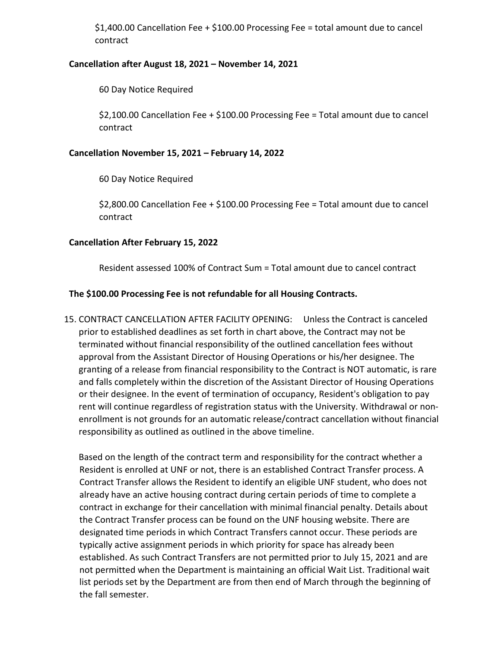\$1,400.00 Cancellation Fee + \$100.00 Processing Fee = total amount due to cancel contract

#### **Cancellation after August 18, 2021 – November 14, 2021**

60 Day Notice Required

 \$2,100.00 Cancellation Fee + \$100.00 Processing Fee = Total amount due to cancel contract

#### **Cancellation November 15, 2021 – February 14, 2022**

60 Day Notice Required

 \$2,800.00 Cancellation Fee + \$100.00 Processing Fee = Total amount due to cancel contract

#### **Cancellation After February 15, 2022**

Resident assessed 100% of Contract Sum = Total amount due to cancel contract

#### **The \$100.00 Processing Fee is not refundable for all Housing Contracts.**

 15. CONTRACT CANCELLATION AFTER FACILITY OPENING: Unless the Contract is canceled prior to established deadlines as set forth in chart above, the Contract may not be terminated without financial responsibility of the outlined cancellation fees without approval from the Assistant Director of Housing Operations or his/her designee. The granting of a release from financial responsibility to the Contract is NOT automatic, is rare and falls completely within the discretion of the Assistant Director of Housing Operations enrollment is not grounds for an automatic release/contract cancellation without financial responsibility as outlined as outlined in the above timeline. or their designee. In the event of termination of occupancy, Resident's obligation to pay rent will continue regardless of registration status with the University. Withdrawal or non-

 already have an active housing contract during certain periods of time to complete a the Contract Transfer process can be found on the UNF housing website. There are designated time periods in which Contract Transfers cannot occur. These periods are typically active assignment periods in which priority for space has already been established. As such Contract Transfers are not permitted prior to July 15, 2021 and are the fall semester. Based on the length of the contract term and responsibility for the contract whether a Resident is enrolled at UNF or not, there is an established Contract Transfer process. A Contract Transfer allows the Resident to identify an eligible UNF student, who does not contract in exchange for their cancellation with minimal financial penalty. Details about not permitted when the Department is maintaining an official Wait List. Traditional wait list periods set by the Department are from then end of March through the beginning of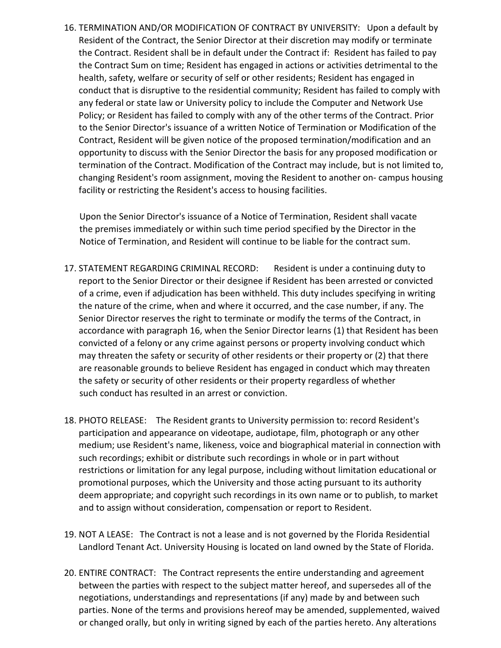16. TERMINATION AND/OR MODIFICATION OF CONTRACT BY UNIVERSITY: Upon a default by the Contract Sum on time; Resident has engaged in actions or activities detrimental to the Policy; or Resident has failed to comply with any of the other terms of the Contract. Prior to the Senior Director's issuance of a written Notice of Termination or Modification of the opportunity to discuss with the Senior Director the basis for any proposed modification or Resident of the Contract, the Senior Director at their discretion may modify or terminate the Contract. Resident shall be in default under the Contract if: Resident has failed to pay health, safety, welfare or security of self or other residents; Resident has engaged in conduct that is disruptive to the residential community; Resident has failed to comply with any federal or state law or University policy to include the Computer and Network Use Contract, Resident will be given notice of the proposed termination/modification and an termination of the Contract. Modification of the Contract may include, but is not limited to, changing Resident's room assignment, moving the Resident to another on- campus housing facility or restricting the Resident's access to housing facilities.

 Notice of Termination, and Resident will continue to be liable for the contract sum. Upon the Senior Director's issuance of a Notice of Termination, Resident shall vacate the premises immediately or within such time period specified by the Director in the

- 17. STATEMENT REGARDING CRIMINAL RECORD: Resident is under a continuing duty to report to the Senior Director or their designee if Resident has been arrested or convicted of a crime, even if adjudication has been withheld. This duty includes specifying in writing Senior Director reserves the right to terminate or modify the terms of the Contract, in accordance with paragraph 16, when the Senior Director learns (1) that Resident has been convicted of a felony or any crime against persons or property involving conduct which may threaten the safety or security of other residents or their property or (2) that there the safety or security of other residents or their property regardless of whether the nature of the crime, when and where it occurred, and the case number, if any. The are reasonable grounds to believe Resident has engaged in conduct which may threaten such conduct has resulted in an arrest or conviction.
- 18. PHOTO RELEASE: The Resident grants to University permission to: record Resident's participation and appearance on videotape, audiotape, film, photograph or any other medium; use Resident's name, likeness, voice and biographical material in connection with promotional purposes, which the University and those acting pursuant to its authority deem appropriate; and copyright such recordings in its own name or to publish, to market such recordings; exhibit or distribute such recordings in whole or in part without restrictions or limitation for any legal purpose, including without limitation educational or and to assign without consideration, compensation or report to Resident.
- 19. NOT A LEASE: The Contract is not a lease and is not governed by the Florida Residential Landlord Tenant Act. University Housing is located on land owned by the State of Florida.
- 20. ENTIRE CONTRACT: The Contract represents the entire understanding and agreement parties. None of the terms and provisions hereof may be amended, supplemented, waived or changed orally, but only in writing signed by each of the parties hereto. Any alterations between the parties with respect to the subject matter hereof, and supersedes all of the negotiations, understandings and representations (if any) made by and between such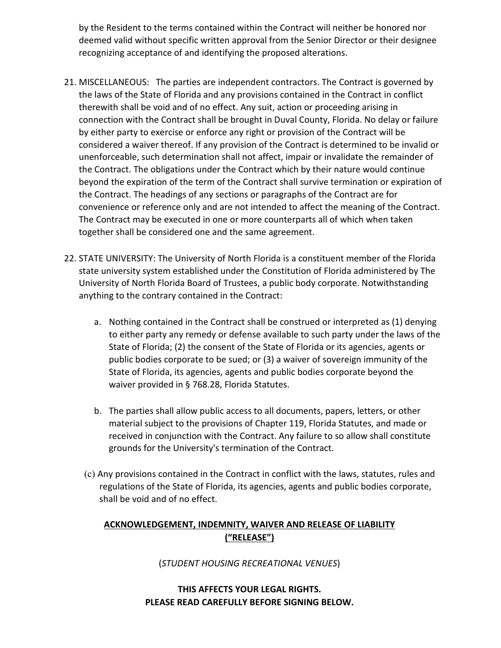by the Resident to the terms contained within the Contract will neither be honored nor deemed valid without specific written approval from the Senior Director or their designee recognizing acceptance of and identifying the proposed alterations.

- 21. MISCELLANEOUS: The parties are independent contractors. The Contract is governed by therewith shall be void and of no effect. Any suit, action or proceeding arising in connection with the Contract shall be brought in Duval County, Florida. No delay or failure the Contract. The obligations under the Contract which by their nature would continue the Contract. The headings of any sections or paragraphs of the Contract are for the laws of the State of Florida and any provisions contained in the Contract in conflict by either party to exercise or enforce any right or provision of the Contract will be considered a waiver thereof. If any provision of the Contract is determined to be invalid or unenforceable, such determination shall not affect, impair or invalidate the remainder of beyond the expiration of the term of the Contract shall survive termination or expiration of convenience or reference only and are not intended to affect the meaning of the Contract. The Contract may be executed in one or more counterparts all of which when taken together shall be considered one and the same agreement.
- 22. STATE UNIVERSITY: The University of North Florida is a constituent member of the Florida anything to the contrary contained in the Contract: state university system established under the Constitution of Florida administered by The University of North Florida Board of Trustees, a public body corporate. Notwithstanding
	- a. Nothing contained in the Contract shall be construed or interpreted as (1) denying to either party any remedy or defense available to such party under the laws of the public bodies corporate to be sued; or (3) a waiver of sovereign immunity of the State of Florida, its agencies, agents and public bodies corporate beyond the State of Florida; (2) the consent of the State of Florida or its agencies, agents or waiver provided in § 768.28, Florida Statutes.
	- material subject to the provisions of Chapter 119, Florida Statutes, and made or b. The parties shall allow public access to all documents, papers, letters, or other received in conjunction with the Contract. Any failure to so allow shall constitute grounds for the University's termination of the Contract.
	- regulations of the State of Florida, its agencies, agents and public bodies corporate, (c) Any provisions contained in the Contract in conflict with the laws, statutes, rules and shall be void and of no effect.

# **ACKNOWLEDGEMENT, INDEMNITY, WAIVER AND RELEASE OF LIABILITY ("RELEASE")**

(*STUDENT HOUSING RECREATIONAL VENUES*)

## **THIS AFFECTS YOUR LEGAL RIGHTS. PLEASE READ CAREFULLY BEFORE SIGNING BELOW.**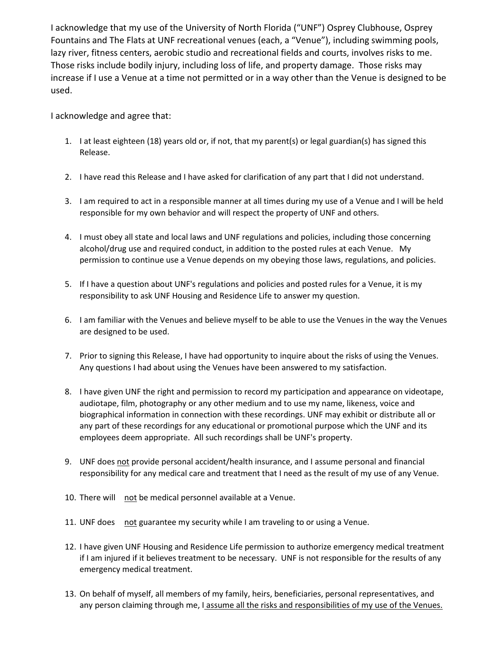I acknowledge that my use of the University of North Florida ("UNF") Osprey Clubhouse, Osprey Fountains and The Flats at UNF recreational venues (each, a "Venue"), including swimming pools, Those risks include bodily injury, including loss of life, and property damage. Those risks may increase if I use a Venue at a time not permitted or in a way other than the Venue is designed to be lazy river, fitness centers, aerobic studio and recreational fields and courts, involves risks to me. used.

I acknowledge and agree that:

- 1. I at least eighteen (18) years old or, if not, that my parent(s) or legal guardian(s) has signed this Release.
- 2. I have read this Release and I have asked for clarification of any part that I did not understand.
- responsible for my own behavior and will respect the property of UNF and others. 3. I am required to act in a responsible manner at all times during my use of a Venue and I will be held
- 4. I must obey all state and local laws and UNF regulations and policies, including those concerning permission to continue use a Venue depends on my obeying those laws, regulations, and policies. alcohol/drug use and required conduct, in addition to the posted rules at each Venue. My
- 5. If I have a question about UNF's regulations and policies and posted rules for a Venue, it is my responsibility to ask UNF Housing and Residence Life to answer my question.
- 6. I am familiar with the Venues and believe myself to be able to use the Venues in the way the Venues are designed to be used.
- 7. Prior to signing this Release, I have had opportunity to inquire about the risks of using the Venues. Any questions I had about using the Venues have been answered to my satisfaction.
- 8. I have given UNF the right and permission to record my participation and appearance on videotape, biographical information in connection with these recordings. UNF may exhibit or distribute all or audiotape, film, photography or any other medium and to use my name, likeness, voice and any part of these recordings for any educational or promotional purpose which the UNF and its employees deem appropriate. All such recordings shall be UNF's property.
- responsibility for any medical care and treatment that I need as the result of my use of any Venue. 9. UNF does not provide personal accident/health insurance, and I assume personal and financial
- 10. There will not be medical personnel available at a Venue.
- 11. UNF does not guarantee my security while I am traveling to or using a Venue.
- if I am injured if it believes treatment to be necessary. UNF is not responsible for the results of any 12. I have given UNF Housing and Residence Life permission to authorize emergency medical treatment emergency medical treatment.
- any person claiming through me, I assume all the risks and responsibilities of my use of the Venues. 13. On behalf of myself, all members of my family, heirs, beneficiaries, personal representatives, and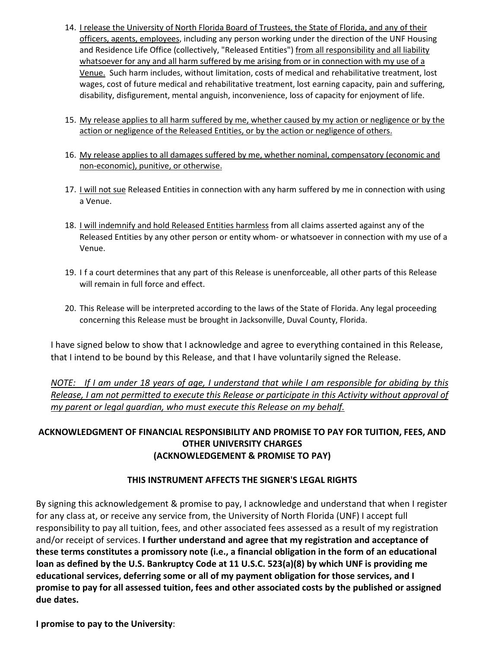- officers, agents, employees, including any person working under the direction of the UNF Housing and Residence Life Office (collectively, "Released Entities") from all responsibility and all liability whatsoever for any and all harm suffered by me arising from or in connection with my use of a Venue. Such harm includes, without limitation, costs of medical and rehabilitative treatment, lost wages, cost of future medical and rehabilitative treatment, lost earning capacity, pain and suffering, disability, disfigurement, mental anguish, inconvenience, loss of capacity for enjoyment of life. 14. I release the University of North Florida Board of Trustees, the State of Florida, and any of their
- 15. My release applies to all harm suffered by me, whether caused by my action or negligence or by the action or negligence of the Released Entities, or by the action or negligence of others.
- 16. My release applies to all damages suffered by me, whether nominal, compensatory (economic and non-economic), punitive, or otherwise.
- 17. I will not sue Released Entities in connection with any harm suffered by me in connection with using a Venue. a Venue.
- 18. *I will indemnify and hold Released Entities harmless* from all claims asserted against any of the Released Entities by any other person or entity whom- or whatsoever in connection with my use of a Venue.
- 19. I f a court determines that any part of this Release is unenforceable, all other parts of this Release will remain in full force and effect.
- will remain in full force and effect.<br>20. This Release will be interpreted according to the laws of the State of Florida. Any legal proceeding concerning this Release must be brought in Jacksonville, Duval County, Florida.

 I have signed below to show that I acknowledge and agree to everything contained in this Release, that I intend to be bound by this Release, and that I have voluntarily signed the Release.

*NOTE: If I am under 18 years of age, I understand that while I am responsible for abiding by this Release, I am not permitted to execute this Release or participate in this Activity without approval of my parent or legal guardian, who must execute this Release on my behalf.* 

# **ACKNOWLEDGMENT OF FINANCIAL RESPONSIBILITY AND PROMISE TO PAY FOR TUITION, FEES, AND OTHER UNIVERSITY CHARGES (ACKNOWLEDGEMENT & PROMISE TO PAY)**

# **THIS INSTRUMENT AFFECTS THE SIGNER'S LEGAL RIGHTS**

 By signing this acknowledgement & promise to pay, I acknowledge and understand that when I register for any class at, or receive any service from, the University of North Florida (UNF) I accept full responsibility to pay all tuition, fees, and other associated fees assessed as a result of my registration  and/or receipt of services. **I further understand and agree that my registration and acceptance of these terms constitutes a promissory note (i.e., a financial obligation in the form of an educational loan as defined by the U.S. Bankruptcy Code at 11 U.S.C. 523(a)(8) by which UNF is providing me educational services, deferring some or all of my payment obligation for those services, and I promise to pay for all assessed tuition, fees and other associated costs by the published or assigned due dates.** 

 **I promise to pay to the University**: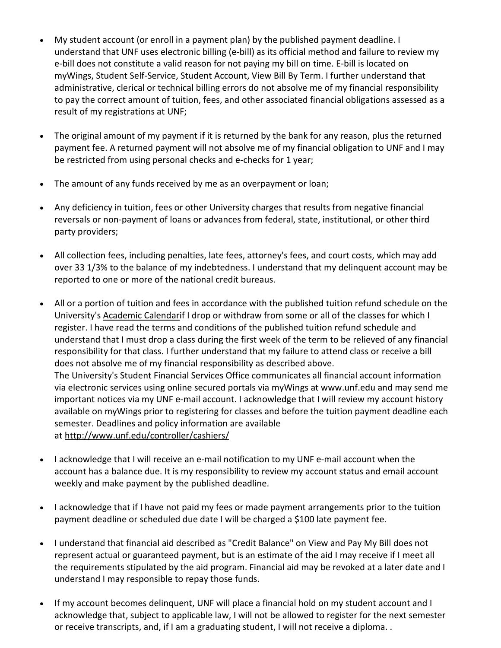- e-bill does not constitute a valid reason for not paying my bill on time. E-bill is located on administrative, clerical or technical billing errors do not absolve me of my financial responsibility to pay the correct amount of tuition, fees, and other associated financial obligations assessed as a • My student account (or enroll in a payment plan) by the published payment deadline. I understand that UNF uses electronic billing (e-bill) as its official method and failure to review my myWings, Student Self-Service, Student Account, View Bill By Term. I further understand that result of my registrations at UNF;
- • The original amount of my payment if it is returned by the bank for any reason, plus the returned payment fee. A returned payment will not absolve me of my financial obligation to UNF and I may be restricted from using personal checks and e-checks for 1 year;
- The amount of any funds received by me as an overpayment or loan;
- • Any deficiency in tuition, fees or other University charges that results from negative financial reversals or non-payment of loans or advances from federal, state, institutional, or other third party providers;
- reported to one or more of the national credit bureaus. • All collection fees, including penalties, late fees, attorney's fees, and court costs, which may add over 33 1/3% to the balance of my indebtedness. I understand that my delinquent account may be
- • All or a portion of tuition and fees in accordance with the published tuition refund schedule on the University's [Academic Calendari](https://events.unf.edu/MasterCalendar/MasterCalendar.aspx?data=Ai6R2a1%2f4RVolgWgOwf9D1%2beBffTMydOyeYoKCpGmPwNFnxIEozmZvGinwUgS2%2bjqbPqr3KbbzT%2fVbEdYcvgM9c7LNzdJZ0bGFuBP5olwLVSoFuCp0MoQ94%2fqGJkmddaH%2bv06eafXPnAtCSNDkuMnGmhltBh484uI8aKccRr6PT5gmNHB3U%2brDj5vDnsb8pEZh49CaQS8oY%3d)f I drop or withdraw from some or all of the classes for which I register. I have read the terms and conditions of the published tuition refund schedule and understand that I must drop a class during the first week of the term to be relieved of any financial responsibility for that class. I further understand that my failure to attend class or receive a bill via electronic services using online secured portals via myWings at [www.unf.edu](https://www.unf.edu/) and may send me important notices via my UNF e-mail account. I acknowledge that I will review my account history available on myWings prior to registering for classes and before the tuition payment deadline each does not absolve me of my financial responsibility as described above. The University's Student Financial Services Office communicates all financial account information semester. Deadlines and policy information are available at [http://www.unf.edu/controller/cashiers/](https://www.unf.edu/controller/cashiers/)
- • I acknowledge that I will receive an e-mail notification to my UNF e-mail account when the account has a balance due. It is my responsibility to review my account status and email account weekly and make payment by the published deadline.
- • I acknowledge that if I have not paid my fees or made payment arrangements prior to the tuition payment deadline or scheduled due date I will be charged a \$100 late payment fee.
- • I understand that financial aid described as "Credit Balance" on View and Pay My Bill does not the requirements stipulated by the aid program. Financial aid may be revoked at a later date and I understand I may responsible to repay those funds. represent actual or guaranteed payment, but is an estimate of the aid I may receive if I meet all
- or receive transcripts, and, if I am a graduating student, I will not receive a diploma. . • If my account becomes delinquent, UNF will place a financial hold on my student account and I acknowledge that, subject to applicable law, I will not be allowed to register for the next semester